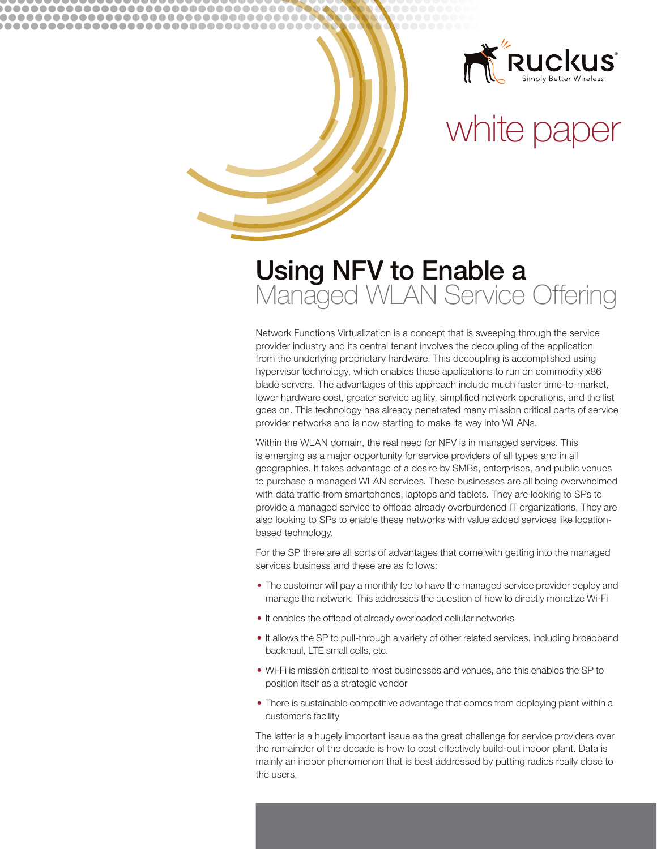

# white paper

# **Using NFV to Enable a**<br>Managed WLAN Service Offering

.............................

................................... .....................................

> Network Functions Virtualization is a concept that is sweeping through the service provider industry and its central tenant involves the decoupling of the application from the underlying proprietary hardware. This decoupling is accomplished using hypervisor technology, which enables these applications to run on commodity x86 blade servers. The advantages of this approach include much faster time-to-market, lower hardware cost, greater service agility, simplified network operations, and the list goes on. This technology has already penetrated many mission critical parts of service provider networks and is now starting to make its way into WLANs.

> Within the WLAN domain, the real need for NFV is in managed services. This is emerging as a major opportunity for service providers of all types and in all geographies. It takes advantage of a desire by SMBs, enterprises, and public venues to purchase a managed WLAN services. These businesses are all being overwhelmed with data traffic from smartphones, laptops and tablets. They are looking to SPs to provide a managed service to offload already overburdened IT organizations. They are also looking to SPs to enable these networks with value added services like locationbased technology.

For the SP there are all sorts of advantages that come with getting into the managed services business and these are as follows:

- The customer will pay a monthly fee to have the managed service provider deploy and manage the network. This addresses the question of how to directly monetize Wi-Fi
- It enables the offload of already overloaded cellular networks
- . It allows the SP to pull-through a variety of other related services, including broadband backhaul, LTE small cells, etc.
- . Wi-Fi is mission critical to most businesses and venues, and this enables the SP to position itself as a strategic vendor
- There is sustainable competitive advantage that comes from deploying plant within a customer's facility

The latter is a hugely important issue as the great challenge for service providers over the remainder of the decade is how to cost effectively build-out indoor plant. Data is mainly an indoor phenomenon that is best addressed by putting radios really close to the users.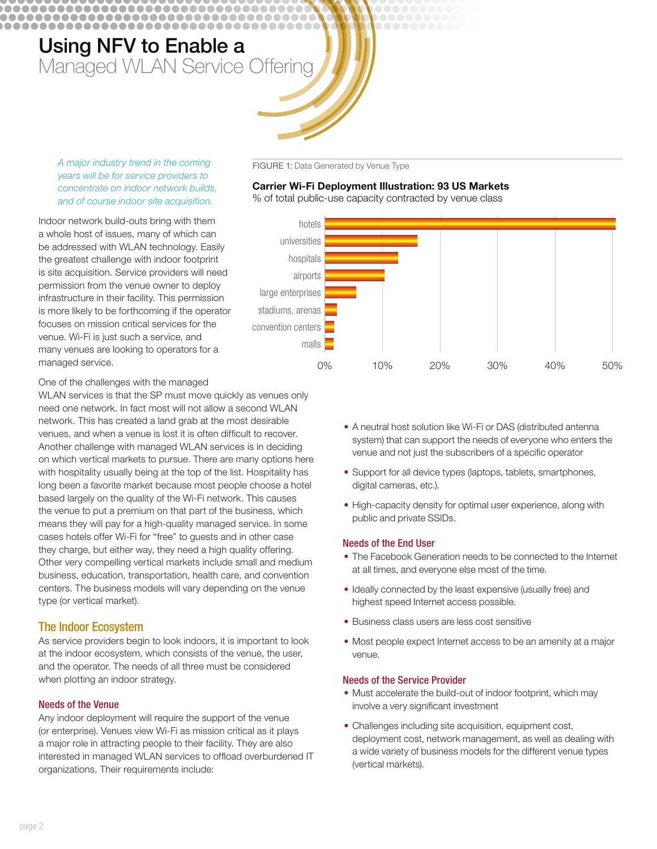\_\_\_\_\_\_\_\_\_\_\_\_\_\_\_\_\_\_\_\_\_\_\_\_\_\_\_\_\_\_\_\_

................................... ....................................



Indoor network build-outs bring with them a whole host of issues, many of which can be addressed with WLAN technology. Easily the greatest challenge with indoor footprint is site acquisition. Service providers will need permission from the venue owner to deploy infrastructure in their facility. This permission is more likely to be forthcoming if the operator focuses on mission critical services for the venue. Wi-Fi is just such a service, and many venues are looking to operators for a managed service.

FIGURE 1: Data Generated by Venue Type

#### **Carrier Wi-Fi Deployment Illustration: 93 US Markets**

% of total public-use capacity contracted by venue class



One of the challenges with the managed

WLAN services is that the SP must move quickly as venues only need one network. In fact most will not allow a second WLAN network. This has created a land grab at the most desirable venues, and when a venue is lost it is often difficult to recover. Another challenge with managed WLAN services is in deciding on which vertical markets to pursue. There are many options here with hospitality usually being at the top of the list. Hospitality has long been a favorite market because most people choose a hotel based largely on the quality of the Wi-Fi network. This causes the venue to put a premium on that part of the business, which means they will pay for a high-quality managed service. In some cases hotels offer Wi-Fi for "free" to guests and in other case they charge, but either way, they need a high quality offering. Other very compelling vertical markets include small and medium business, education, transportation, health care, and convention centers. The business models will vary depending on the venue type (or vertical market).

#### **The Indoor Ecosystem**

As service providers begin to look indoors, it is important to look at the indoor ecosystem, which consists of the venue, the user, and the operator. The needs of all three must be considered when plotting an indoor strategy.

#### **Needs of the Venue**

Any indoor deployment will require the support of the venue (or enterprise). Venues view Wi-Fi as mission critical as it plays a major role in attracting people to their facility. They are also interested in managed WLAN services to offload overburdened IT organizations. Their requirements include:

- A neutral host solution like Wi-Fi or DAS (distributed antenna system) that can support the needs of everyone who enters the venue and not just the subscribers of a specific operator
- Support for all device types (laptops, tablets, smartphones, digital cameras, etc.).
- High-capacity density for optimal user experience, along with public and private SSIDs.

#### **Needs of the End User**

- The Facebook Generation needs to be connected to the Internet at all times, and everyone else most of the time.
- Ideally connected by the least expensive (usually free) and highest speed Internet access possible.
- Business class users are less cost sensitive
- Most people expect Internet access to be an amenity at a major venue.

#### **Needs of the Service Provider**

- Must accelerate the build-out of indoor footprint, which may involve a very significant investment
- Challenges including site acquisition, equipment cost, deployment cost, network management, as well as dealing with a wide variety of business models for the different venue types (vertical markets).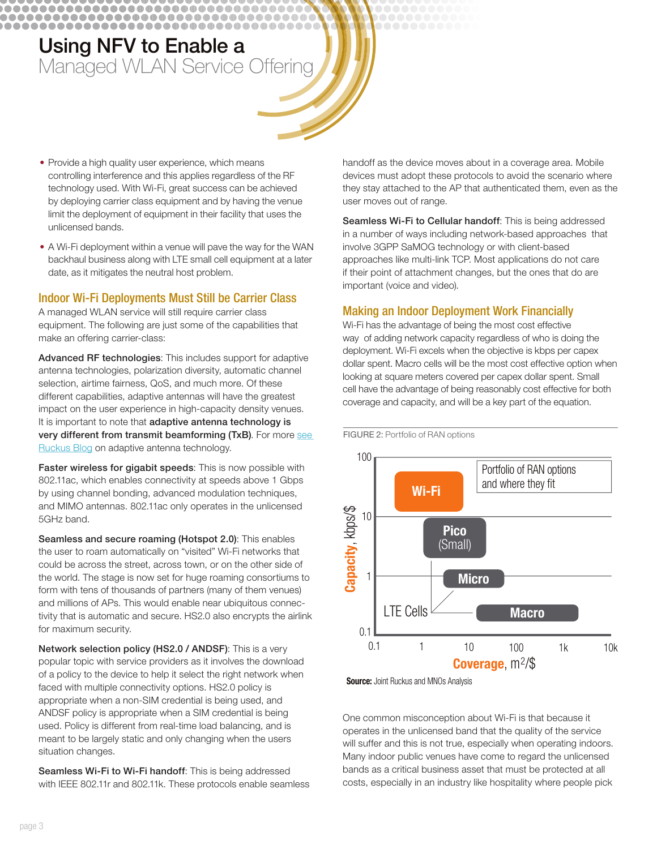................................... ....................................

\_\_\_\_\_\_\_\_\_\_\_\_\_\_\_\_\_\_\_\_\_\_\_\_\_\_\_\_\_\_\_\_

- Provide a high quality user experience, which means controlling interference and this applies regardless of the RF technology used. With Wi-Fi, great success can be achieved by deploying carrier class equipment and by having the venue limit the deployment of equipment in their facility that uses the unlicensed bands.
- A Wi-Fi deployment within a venue will pave the way for the WAN backhaul business along with LTE small cell equipment at a later date, as it mitigates the neutral host problem.

#### Indoor Wi-Fi Deployments Must Still be Carrier Class

A managed WLAN service will still require carrier class equipment. The following are just some of the capabilities that make an offering carrier-class:

Advanced RF technologies: This includes support for adaptive antenna technologies, polarization diversity, automatic channel selection, airtime fairness, QoS, and much more. Of these different capabilities, adaptive antennas will have the greatest impact on the user experience in high-capacity density venues. It is important to note that adaptive antenna technology is very different from transmit beamforming (TxB). For more see Ruckus Blog on adaptive antenna technology.

Faster wireless for gigabit speeds: This is now possible with 802.11ac, which enables connectivity at speeds above 1 Gbps by using channel bonding, advanced modulation techniques, and MIMO antennas. 802.11ac only operates in the unlicensed 5GHz band.

Seamless and secure roaming (Hotspot 2.0): This enables the user to roam automatically on "visited" Wi-Fi networks that could be across the street, across town, or on the other side of the world. The stage is now set for huge roaming consortiums to form with tens of thousands of partners (many of them venues) and millions of APs. This would enable near ubiquitous connectivity that is automatic and secure. HS2.0 also encrypts the airlink for maximum security.

Network selection policy (HS2.0 / ANDSF): This is a very popular topic with service providers as it involves the download of a policy to the device to help it select the right network when faced with multiple connectivity options. HS2.0 policy is appropriate when a non-SIM credential is being used, and ANDSF policy is appropriate when a SIM credential is being used. Policy is different from real-time load balancing, and is meant to be largely static and only changing when the users situation changes.

Seamless Wi-Fi to Wi-Fi handoff: This is being addressed with IEEE 802.11r and 802.11k. These protocols enable seamless handoff as the device moves about in a coverage area. Mobile devices must adopt these protocols to avoid the scenario where they stay attached to the AP that authenticated them, even as the user moves out of range.

Seamless Wi-Fi to Cellular handoff: This is being addressed in a number of ways including network-based approaches that involve 3GPP SaMOG technology or with client-based approaches like multi-link TCP. Most applications do not care if their point of attachment changes, but the ones that do are important (voice and video).

#### **Making an Indoor Deployment Work Financially**

Wi-Fi has the advantage of being the most cost effective way of adding network capacity regardless of who is doing the deployment. Wi-Fi excels when the objective is kbps per capex dollar spent. Macro cells will be the most cost effective option when looking at square meters covered per capex dollar spent. Small cell have the advantage of being reasonably cost effective for both coverage and capacity, and will be a key part of the equation.



**Source:** Joint Ruckus and MNOs Analysis

One common misconception about Wi-Fi is that because it operates in the unlicensed band that the quality of the service will suffer and this is not true, especially when operating indoors. Many indoor public venues have come to regard the unlicensed bands as a critical business asset that must be protected at all costs, especially in an industry like hospitality where people pick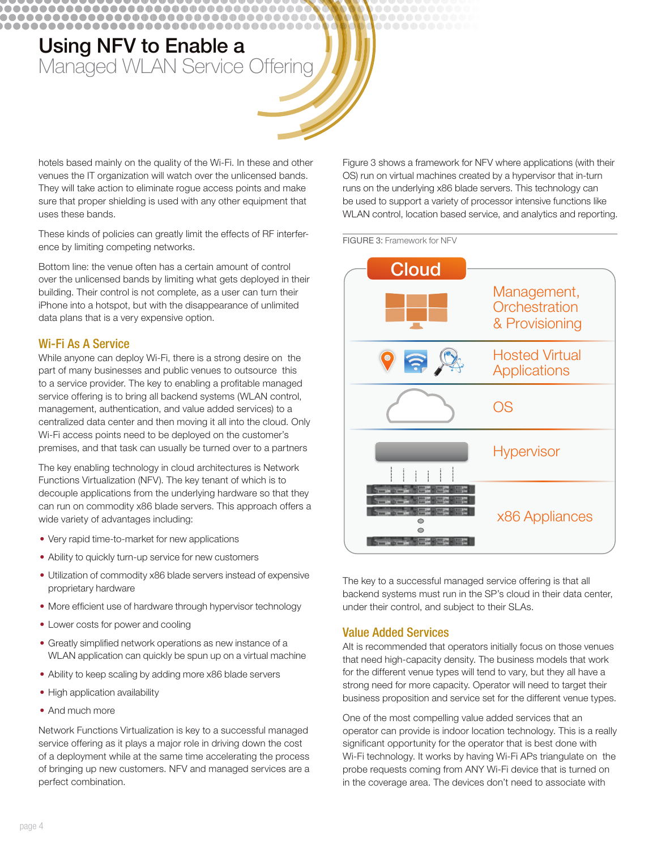.............................

................................... ....................................

> hotels based mainly on the quality of the Wi-Fi. In these and other venues the IT organization will watch over the unlicensed bands. They will take action to eliminate rogue access points and make sure that proper shielding is used with any other equipment that uses these bands.

These kinds of policies can greatly limit the effects of RF interference by limiting competing networks.

Bottom line: the venue often has a certain amount of control over the unlicensed bands by limiting what gets deployed in their building. Their control is not complete, as a user can turn their iPhone into a hotspot, but with the disappearance of unlimited data plans that is a very expensive option.

#### **Wi-Fi As A Service**

While anyone can deploy Wi-Fi, there is a strong desire on the part of many businesses and public venues to outsource this to a service provider. The key to enabling a profitable managed service offering is to bring all backend systems (WLAN control, management, authentication, and value added services) to a centralized data center and then moving it all into the cloud. Only Wi-Fi access points need to be deployed on the customer's premises, and that task can usually be turned over to a partners

The key enabling technology in cloud architectures is Network Functions Virtualization (NFV). The key tenant of which is to decouple applications from the underlying hardware so that they can run on commodity x86 blade servers. This approach offers a wide variety of advantages including:

- Very rapid time-to-market for new applications
- Ability to quickly turn-up service for new customers
- Utilization of commodity x86 blade servers instead of expensive proprietary hardware
- More efficient use of hardware through hypervisor technology
- Lower costs for power and cooling
- Greatly simplified network operations as new instance of a WLAN application can quickly be spun up on a virtual machine
- Ability to keep scaling by adding more x86 blade servers
- High application availability
- And much more

Network Functions Virtualization is key to a successful managed service offering as it plays a major role in driving down the cost of a deployment while at the same time accelerating the process of bringing up new customers. NFV and managed services are a perfect combination.

Figure 3 shows a framework for NFV where applications (with their OS) run on virtual machines created by a hypervisor that in-turn runs on the underlying x86 blade servers. This technology can be used to support a variety of processor intensive functions like WLAN control, location based service, and analytics and reporting.

#### FIGURE 3: Framework for NFV



The key to a successful managed service offering is that all backend systems must run in the SP's cloud in their data center, under their control, and subject to their SLAs.

#### **Value Added Services**

Alt is recommended that operators initially focus on those venues that need high-capacity density. The business models that work for the different venue types will tend to vary, but they all have a strong need for more capacity. Operator will need to target their business proposition and service set for the different venue types.

One of the most compelling value added services that an operator can provide is indoor location technology. This is a really significant opportunity for the operator that is best done with Wi-Fi technology. It works by having Wi-Fi APs triangulate on the probe requests coming from ANY Wi-Fi device that is turned on in the coverage area. The devices don't need to associate with